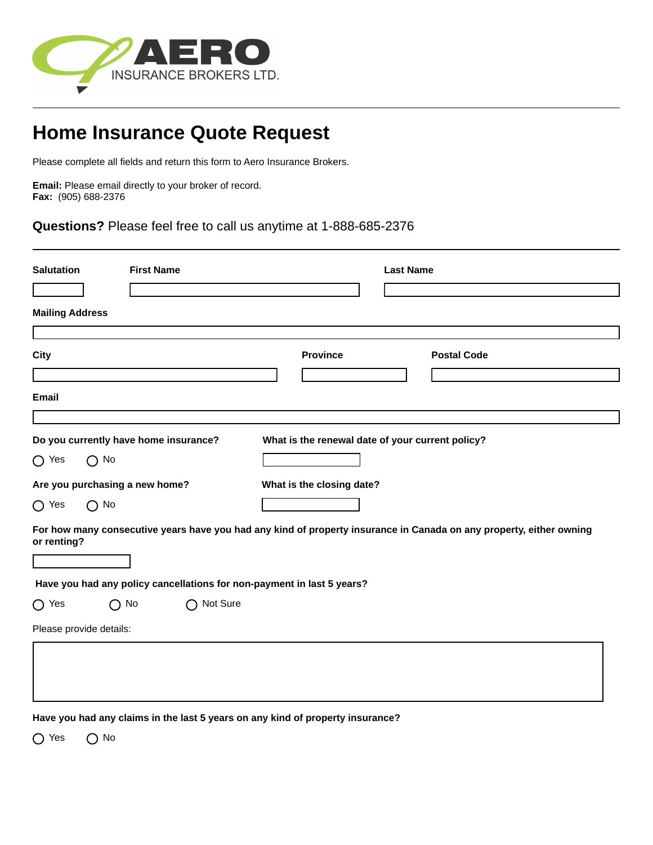

## **Home Insurance Quote Request**

Please complete all fields and return this form to Aero Insurance Brokers.

**Email:** Please email directly to your broker of record. **Fax:** (905) 688-2376

**Questions?** Please feel free to call us anytime at 1-888-685-2376

| <b>Salutation</b><br><b>First Name</b> |                                                       |  |            | <b>Last Name</b>                                                                                                    |  |  |  |  |  |  |
|----------------------------------------|-------------------------------------------------------|--|------------|---------------------------------------------------------------------------------------------------------------------|--|--|--|--|--|--|
| <b>Mailing Address</b>                 |                                                       |  |            |                                                                                                                     |  |  |  |  |  |  |
| <b>City</b>                            |                                                       |  |            | <b>Province</b><br><b>Postal Code</b>                                                                               |  |  |  |  |  |  |
| <b>Email</b>                           |                                                       |  |            |                                                                                                                     |  |  |  |  |  |  |
| $\bigcirc$ Yes                         | Do you currently have home insurance?<br>$\bigcap$ No |  |            | What is the renewal date of your current policy?                                                                    |  |  |  |  |  |  |
|                                        | Are you purchasing a new home?                        |  |            | What is the closing date?                                                                                           |  |  |  |  |  |  |
| $\bigcirc$ Yes                         | $\bigcap$ No                                          |  |            |                                                                                                                     |  |  |  |  |  |  |
| or renting?                            |                                                       |  |            | For how many consecutive years have you had any kind of property insurance in Canada on any property, either owning |  |  |  |  |  |  |
|                                        |                                                       |  |            | Have you had any policy cancellations for non-payment in last 5 years?                                              |  |  |  |  |  |  |
| $\bigcirc$ Yes                         | $\bigcap$ No                                          |  | ◯ Not Sure |                                                                                                                     |  |  |  |  |  |  |
|                                        | Please provide details:                               |  |            |                                                                                                                     |  |  |  |  |  |  |
|                                        |                                                       |  |            |                                                                                                                     |  |  |  |  |  |  |
|                                        |                                                       |  |            | Have you had any claims in the last 5 years on any kind of property insurance?                                      |  |  |  |  |  |  |

O Yes O No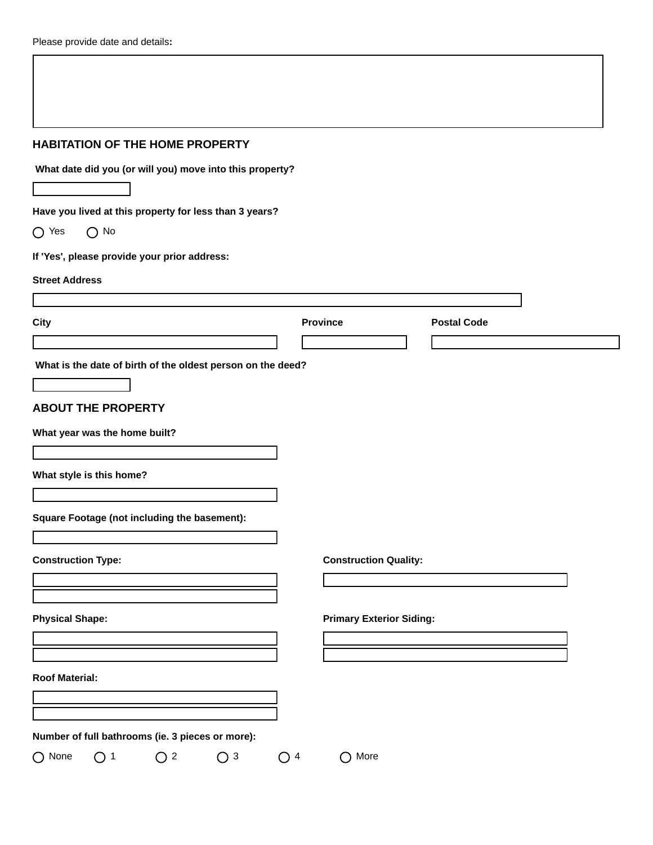| <b>HABITATION OF THE HOME PROPERTY</b>                      |                                 |                    |  |
|-------------------------------------------------------------|---------------------------------|--------------------|--|
| What date did you (or will you) move into this property?    |                                 |                    |  |
|                                                             |                                 |                    |  |
| Have you lived at this property for less than 3 years?      |                                 |                    |  |
| $\bigcirc$ Yes<br>$\bigcap$ No                              |                                 |                    |  |
| If 'Yes', please provide your prior address:                |                                 |                    |  |
| <b>Street Address</b>                                       |                                 |                    |  |
|                                                             |                                 |                    |  |
| City                                                        | <b>Province</b>                 | <b>Postal Code</b> |  |
|                                                             |                                 |                    |  |
| What is the date of birth of the oldest person on the deed? |                                 |                    |  |
|                                                             |                                 |                    |  |
| <b>ABOUT THE PROPERTY</b>                                   |                                 |                    |  |
| What year was the home built?                               |                                 |                    |  |
|                                                             |                                 |                    |  |
| What style is this home?                                    |                                 |                    |  |
|                                                             |                                 |                    |  |
| Square Footage (not including the basement):                |                                 |                    |  |
|                                                             |                                 |                    |  |
| <b>Construction Type:</b>                                   | <b>Construction Quality:</b>    |                    |  |
|                                                             |                                 |                    |  |
|                                                             |                                 |                    |  |
| <b>Physical Shape:</b>                                      | <b>Primary Exterior Siding:</b> |                    |  |
|                                                             |                                 |                    |  |
| <b>Roof Material:</b>                                       |                                 |                    |  |
|                                                             |                                 |                    |  |
|                                                             |                                 |                    |  |
|                                                             |                                 |                    |  |
| Number of full bathrooms (ie. 3 pieces or more):            |                                 |                    |  |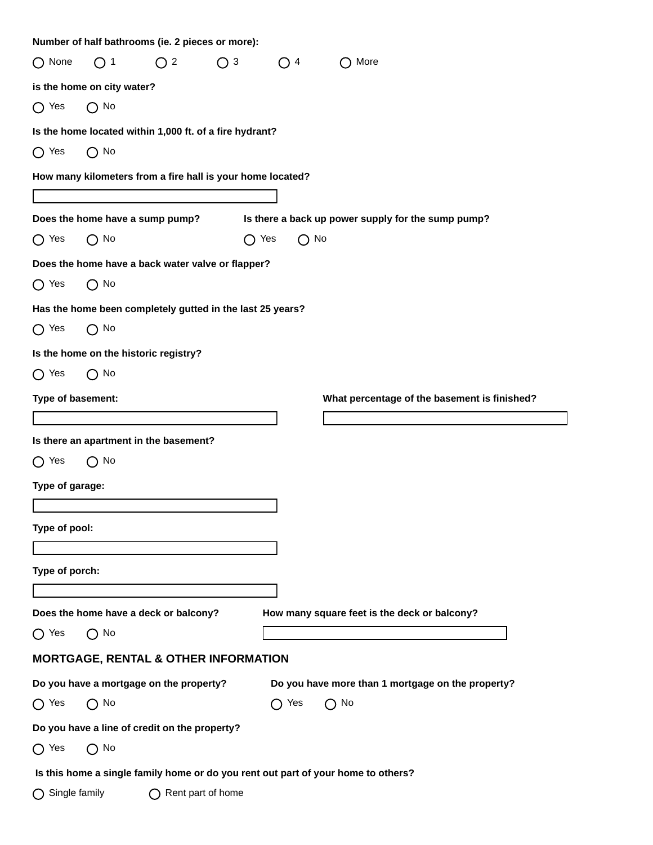|                                         |                            | Number of half bathrooms (ie. 2 pieces or more):           |             |                                                    |  |                                                                                   |  |  |  |  |  |
|-----------------------------------------|----------------------------|------------------------------------------------------------|-------------|----------------------------------------------------|--|-----------------------------------------------------------------------------------|--|--|--|--|--|
| $\bigcap$ None                          | $\bigcirc$ 1               | $\bigcap$ 2                                                | $\bigcap$ 3 | ◯ 4                                                |  | $\bigcap$ More                                                                    |  |  |  |  |  |
|                                         | is the home on city water? |                                                            |             |                                                    |  |                                                                                   |  |  |  |  |  |
| $\bigcap$ Yes                           | $\bigcap$ No               |                                                            |             |                                                    |  |                                                                                   |  |  |  |  |  |
|                                         |                            | Is the home located within 1,000 ft. of a fire hydrant?    |             |                                                    |  |                                                                                   |  |  |  |  |  |
| $\bigcap$ Yes                           | $\bigcap$ No               |                                                            |             |                                                    |  |                                                                                   |  |  |  |  |  |
|                                         |                            | How many kilometers from a fire hall is your home located? |             |                                                    |  |                                                                                   |  |  |  |  |  |
|                                         |                            |                                                            |             |                                                    |  |                                                                                   |  |  |  |  |  |
| Does the home have a sump pump?         |                            |                                                            |             | Is there a back up power supply for the sump pump? |  |                                                                                   |  |  |  |  |  |
| $\bigcap$ Yes                           | $\bigcap$ No               |                                                            |             | $\bigcap$ Yes<br>$\bigcap$ No                      |  |                                                                                   |  |  |  |  |  |
|                                         |                            | Does the home have a back water valve or flapper?          |             |                                                    |  |                                                                                   |  |  |  |  |  |
| $\bigcap$ Yes                           | $\bigcap$ No               |                                                            |             |                                                    |  |                                                                                   |  |  |  |  |  |
|                                         |                            | Has the home been completely gutted in the last 25 years?  |             |                                                    |  |                                                                                   |  |  |  |  |  |
| $\bigcap$ Yes                           | $\bigcap$ No               |                                                            |             |                                                    |  |                                                                                   |  |  |  |  |  |
|                                         |                            | Is the home on the historic registry?                      |             |                                                    |  |                                                                                   |  |  |  |  |  |
| $\bigcap$ Yes                           | $\bigcap$ No               |                                                            |             |                                                    |  |                                                                                   |  |  |  |  |  |
| Type of basement:                       |                            |                                                            |             |                                                    |  | What percentage of the basement is finished?                                      |  |  |  |  |  |
|                                         |                            |                                                            |             |                                                    |  |                                                                                   |  |  |  |  |  |
|                                         |                            | Is there an apartment in the basement?                     |             |                                                    |  |                                                                                   |  |  |  |  |  |
| $\bigcap$ Yes                           | $\bigcirc$ No              |                                                            |             |                                                    |  |                                                                                   |  |  |  |  |  |
| Type of garage:                         |                            |                                                            |             |                                                    |  |                                                                                   |  |  |  |  |  |
|                                         |                            |                                                            |             |                                                    |  |                                                                                   |  |  |  |  |  |
| Type of pool:                           |                            |                                                            |             |                                                    |  |                                                                                   |  |  |  |  |  |
|                                         |                            |                                                            |             |                                                    |  |                                                                                   |  |  |  |  |  |
| Type of porch:                          |                            |                                                            |             |                                                    |  |                                                                                   |  |  |  |  |  |
|                                         |                            |                                                            |             |                                                    |  |                                                                                   |  |  |  |  |  |
|                                         |                            | Does the home have a deck or balcony?                      |             |                                                    |  | How many square feet is the deck or balcony?                                      |  |  |  |  |  |
| $\bigcap$ Yes                           | $\bigcap$ No               |                                                            |             |                                                    |  |                                                                                   |  |  |  |  |  |
|                                         |                            | <b>MORTGAGE, RENTAL &amp; OTHER INFORMATION</b>            |             |                                                    |  |                                                                                   |  |  |  |  |  |
| Do you have a mortgage on the property? |                            |                                                            |             | Do you have more than 1 mortgage on the property?  |  |                                                                                   |  |  |  |  |  |
| $\bigcap$ No<br>$\bigcap$ Yes           |                            |                                                            |             | $\bigcirc$ Yes<br>$\bigcirc$ No                    |  |                                                                                   |  |  |  |  |  |
|                                         |                            | Do you have a line of credit on the property?              |             |                                                    |  |                                                                                   |  |  |  |  |  |
| $\bigcap$ Yes                           | $\bigcap$ No               |                                                            |             |                                                    |  |                                                                                   |  |  |  |  |  |
|                                         |                            |                                                            |             |                                                    |  | Is this home a single family home or do you rent out part of your home to others? |  |  |  |  |  |
| Single family                           |                            | Rent part of home                                          |             |                                                    |  |                                                                                   |  |  |  |  |  |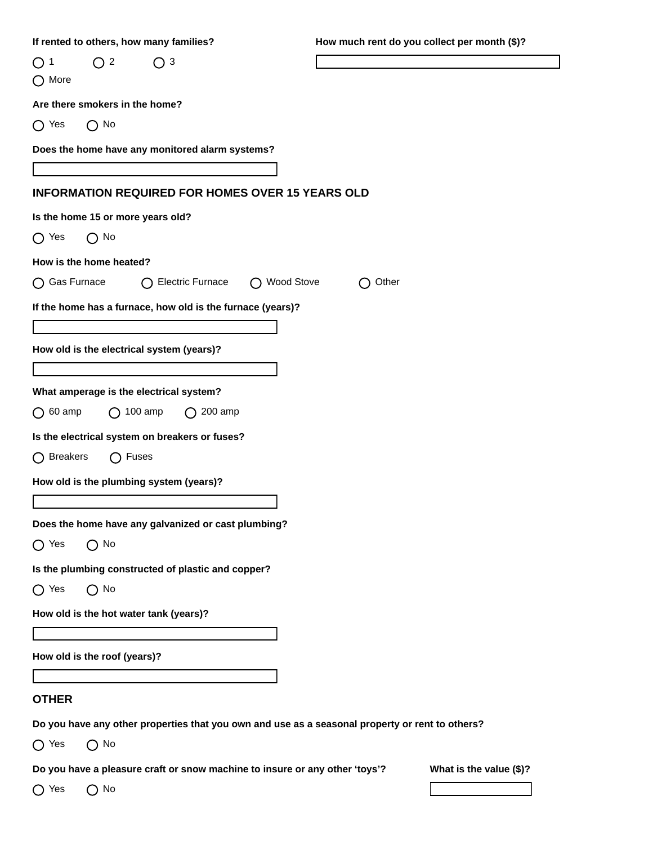| If rented to others, how many families?                                                         | How much rent do you collect per month (\$)? |  |  |  |
|-------------------------------------------------------------------------------------------------|----------------------------------------------|--|--|--|
| $\bigcirc$ 2<br>◯ 3<br>1<br>$\left( \ \right)$<br>$\bigcap$ More                                |                                              |  |  |  |
| Are there smokers in the home?                                                                  |                                              |  |  |  |
| $\bigcap$ No<br>$\bigcap$ Yes                                                                   |                                              |  |  |  |
| Does the home have any monitored alarm systems?                                                 |                                              |  |  |  |
|                                                                                                 |                                              |  |  |  |
| <b>INFORMATION REQUIRED FOR HOMES OVER 15 YEARS OLD</b>                                         |                                              |  |  |  |
| Is the home 15 or more years old?                                                               |                                              |  |  |  |
| $\bigcap$ No<br>$\bigcap$ Yes                                                                   |                                              |  |  |  |
| How is the home heated?                                                                         |                                              |  |  |  |
| ◯ Gas Furnace<br><b>Electric Furnace</b><br>◯ Wood Stove                                        | Other                                        |  |  |  |
| If the home has a furnace, how old is the furnace (years)?                                      |                                              |  |  |  |
|                                                                                                 |                                              |  |  |  |
| How old is the electrical system (years)?                                                       |                                              |  |  |  |
|                                                                                                 |                                              |  |  |  |
| What amperage is the electrical system?                                                         |                                              |  |  |  |
| $\bigcap$ 100 amp<br>$\bigcap$ 60 amp<br>$\bigcap$ 200 amp                                      |                                              |  |  |  |
| Is the electrical system on breakers or fuses?                                                  |                                              |  |  |  |
| <b>Breakers</b><br>Fuses<br>◯<br>( )                                                            |                                              |  |  |  |
| How old is the plumbing system (years)?                                                         |                                              |  |  |  |
|                                                                                                 |                                              |  |  |  |
| Does the home have any galvanized or cast plumbing?                                             |                                              |  |  |  |
| $\bigcap$ No<br>$\bigcap$ Yes                                                                   |                                              |  |  |  |
| Is the plumbing constructed of plastic and copper?                                              |                                              |  |  |  |
| $\bigcap$ No<br>$\bigcap$ Yes                                                                   |                                              |  |  |  |
| How old is the hot water tank (years)?                                                          |                                              |  |  |  |
|                                                                                                 |                                              |  |  |  |
| How old is the roof (years)?                                                                    |                                              |  |  |  |
|                                                                                                 |                                              |  |  |  |
| <b>OTHER</b>                                                                                    |                                              |  |  |  |
| Do you have any other properties that you own and use as a seasonal property or rent to others? |                                              |  |  |  |
| $\bigcirc$ No<br>$\bigcap$ Yes                                                                  |                                              |  |  |  |
| Do you have a pleasure craft or snow machine to insure or any other 'toys'?                     | What is the value (\$)?                      |  |  |  |
| $\bigcirc$ No<br>$\bigcap$ Yes                                                                  |                                              |  |  |  |